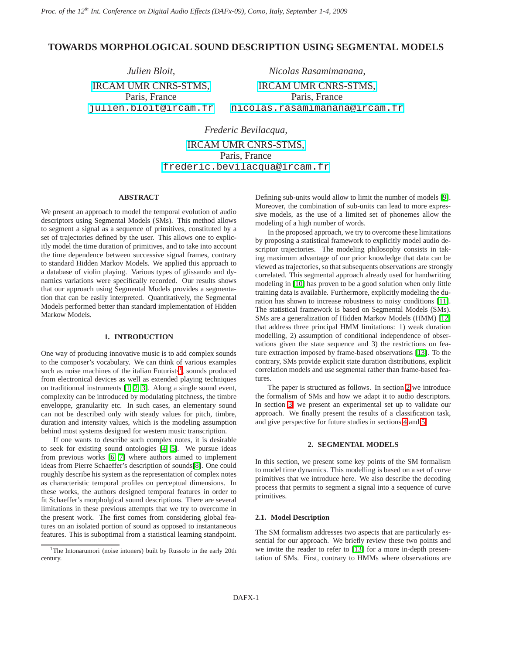# **TOWARDS MORPHOLOGICAL SOUND DESCRIPTION USING SEGMENTAL MODELS**

*Julien Bloit,* [IRCAM UMR CNRS-STMS,](http://imtr.ircam.fr) Paris, France [julien.bloit@ircam.fr](mailto:julien.bloit@ircam.fr)

*Nicolas Rasamimanana,* [IRCAM UMR CNRS-STMS,](http://imtr.ircam.fr) Paris, France [nicolas.rasamimanana@ircam.fr](mailto:nicolas.rasamimanana@ircam.fr)

*Frederic Bevilacqua,* [IRCAM UMR CNRS-STMS,](http://imtr.ircam.fr) Paris, France [frederic.bevilacqua@ircam.fr](mailto:frederic.bevilacqua@ircam.fr)

#### **ABSTRACT**

We present an approach to model the temporal evolution of audio descriptors using Segmental Models (SMs). This method allows to segment a signal as a sequence of primitives, constituted by a set of trajectories defined by the user. This allows one to explicitly model the time duration of primitives, and to take into account the time dependence between successive signal frames, contrary to standard Hidden Markov Models. We applied this approach to a database of violin playing. Various types of glissando and dynamics variations were specifically recorded. Our results shows that our approach using Segmental Models provides a segmentation that can be easily interpreted. Quantitatively, the Segmental Models performed better than standard implementation of Hidden Markow Models.

### **1. INTRODUCTION**

One way of producing innovative music is to add complex sounds to the composer's vocabulary. We can think of various examples such as noise machines of the italian Futurists<sup>[1](#page-0-0)</sup>, sounds produced from electronical devices as well as extended playing techniques on traditionnal instruments [\[1,](#page-4-0) [2,](#page-4-1) [3\]](#page-4-2). Along a single sound event, complexity can be introduced by modulating pitchness, the timbre enveloppe, granularity etc. In such cases, an elementary sound can not be described only with steady values for pitch, timbre, duration and intensity values, which is the modeling assumption behind most systems designed for western music transcription.

If one wants to describe such complex notes, it is desirable to seek for existing sound ontologies [\[4,](#page-4-3) [5\]](#page-4-4). We pursue ideas from previous works [\[6,](#page-4-5) [7\]](#page-4-6) where authors aimed to implement ideas from Pierre Schaeffer's description of sounds[\[8\]](#page-4-7). One could roughly describe his system as the representation of complex notes as characteristic temporal profiles on perceptual dimensions. In these works, the authors designed temporal features in order to fit Schaeffer's morpholgical sound descriptions. There are several limitations in these previous attempts that we try to overcome in the present work. The first comes from considering global features on an isolated portion of sound as opposed to instantaneous features. This is suboptimal from a statistical learning standpoint.

Defining sub-units would allow to limit the number of models [\[9\]](#page-4-8). Moreover, the combination of sub-units can lead to more expressive models, as the use of a limited set of phonemes allow the modeling of a high number of words.

In the proposed approach, we try to overcome these limitations by proposing a statistical framework to explicitly model audio descriptor trajectories. The modeling philosophy consists in taking maximum advantage of our prior knowledge that data can be viewed as trajectories, so that subsequents observations are strongly correlated. This segmental approach already used for handwriting modeling in [\[10\]](#page-4-9) has proven to be a good solution when only little training data is available. Furthermore, explicitly modeling the duration has shown to increase robustness to noisy conditions [\[11\]](#page-4-10). The statistical framework is based on Segmental Models (SMs). SMs are a generalization of Hidden Markov Models (HMM) [\[12\]](#page-4-11) that address three principal HMM limitations: 1) weak duration modelling, 2) assumption of conditional independence of observations given the state sequence and 3) the restrictions on feature extraction imposed by frame-based observations [\[13\]](#page-4-12). To the contrary, SMs provide explicit state duration distributions, explicit correlation models and use segmental rather than frame-based features.

The paper is structured as follows. In section [2](#page-0-1) we introduce the formalism of SMs and how we adapt it to audio descriptors. In section [3,](#page-2-0) we present an experimental set up to validate our approach. We finally present the results of a classification task, and give perspective for future studies in sections [4](#page-3-0) and [5.](#page-3-1)

### **2. SEGMENTAL MODELS**

<span id="page-0-1"></span>In this section, we present some key points of the SM formalism to model time dynamics. This modelling is based on a set of curve primitives that we introduce here. We also describe the decoding process that permits to segment a signal into a sequence of curve primitives.

#### **2.1. Model Description**

The SM formalism addresses two aspects that are particularly essential for our approach. We briefly review these two points and we invite the reader to refer to [\[13\]](#page-4-12) for a more in-depth presentation of SMs. First, contrary to HMMs where observations are

<span id="page-0-0"></span><sup>&</sup>lt;sup>1</sup>The Intonarumori (noise intoners) built by Russolo in the early 20th century.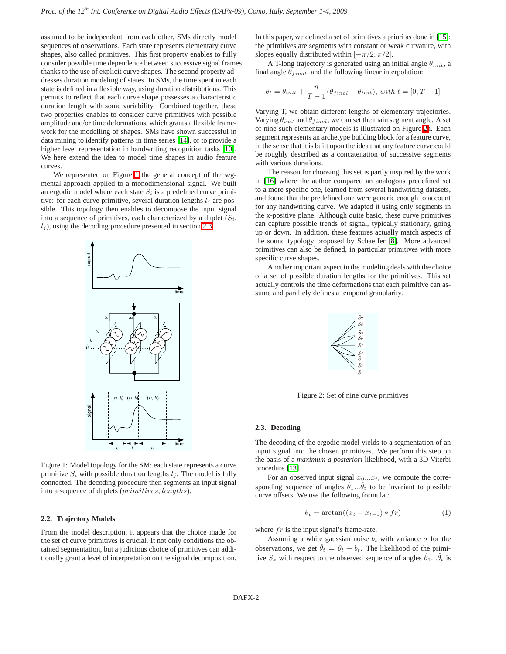assumed to be independent from each other, SMs directly model sequences of observations. Each state represents elementary curve shapes, also called primitives. This first property enables to fully consider possible time dependence between successive signal frames thanks to the use of explicit curve shapes. The second property addresses duration modeling of states. In SMs, the time spent in each state is defined in a flexible way, using duration distributions. This permits to reflect that each curve shape possesses a characteristic duration length with some variability. Combined together, these two properties enables to consider curve primitives with possible amplitude and/or time deformations, which grants a flexible framework for the modelling of shapes. SMs have shown successful in data mining to identify patterns in time series [\[14\]](#page-4-13), or to provide a higher level representation in handwriting recognition tasks [\[10\]](#page-4-9). We here extend the idea to model time shapes in audio feature curves.

<span id="page-1-0"></span>We represented on Figure [1](#page-1-0) the general concept of the segmental approach applied to a monodimensional signal. We built an ergodic model where each state  $S_i$  is a predefined curve primitive: for each curve primitive, several duration lengths  $l_j$  are possible. This topology then enables to decompose the input signal into a sequence of primitives, each characterized by a duplet  $(S_i, \mathcal{S}_i)$  $l_i$ ), using the decoding procedure presented in section [2.3.](#page-1-1)



Figure 1: Model topology for the SM: each state represents a curve primitive  $S_i$  with possible duration lengths  $l_i$ . The model is fully connected. The decoding procedure then segments an input signal into a sequence of duplets (primitives, lengths).

### <span id="page-1-4"></span>**2.2. Trajectory Models**

From the model description, it appears that the choice made for the set of curve primitives is crucial. It not only conditions the obtained segmentation, but a judicious choice of primitives can additionally grant a level of interpretation on the signal decomposition.

In this paper, we defined a set of primitives a priori as done in [\[15\]](#page-4-14): the primitives are segments with constant or weak curvature, with slopes equally distributed within  $[-\pi/2; \pi/2]$ .

A T-long trajectory is generated using an initial angle  $\theta_{init}$ , a final angle  $\theta_{final}$ , and the following linear interpolation:

$$
\theta_t = \theta_{init} + \frac{n}{T-1}(\theta_{final} - \theta_{init}), with t = [0, T-1]
$$

Varying T, we obtain different lengths of elementary trajectories. Varying  $\theta_{init}$  and  $\theta_{final}$ , we can set the main segment angle. A set of nine such elementary models is illustrated on Figure [2a](#page-1-2). Each segment represents an archetype building block for a feature curve, in the sense that it is built upon the idea that any feature curve could be roughly described as a concatenation of successive segments with various durations.

The reason for choosing this set is partly inspired by the work in [\[16\]](#page-4-15) where the author compared an analogous predefined set to a more specific one, learned from several handwriting datasets, and found that the predefined one were generic enough to account for any handwriting curve. We adapted it using only segments in the x-positive plane. Although quite basic, these curve primitives can capture possible trends of signal, typically stationary, going up or down. In addition, these features actually match aspects of the sound typology proposed by Schaeffer [\[8\]](#page-4-7). More advanced primitives can also be defined, in particular primitives with more specific curve shapes.

<span id="page-1-2"></span>Another important aspect in the modeling deals with the choice of a set of possible duration lengths for the primitives. This set actually controls the time deformations that each primitive can assume and parallely defines a temporal granularity.



Figure 2: Set of nine curve primitives

### <span id="page-1-1"></span>**2.3. Decoding**

The decoding of the ergodic model yields to a segmentation of an input signal into the chosen primitives. We perform this step on the basis of a *maximum a posteriori* likelihood, with a 3D Viterbi procedure [\[13\]](#page-4-12).

For an observed input signal  $x_0...x_t$ , we compute the corresponding sequence of angles  $\hat{\theta}_1...\hat{\theta}_t$  to be invariant to possible curve offsets. We use the following formula :

$$
\theta_t = \arctan((x_t - x_{t-1}) * fr) \tag{1}
$$

<span id="page-1-3"></span>where  $fr$  is the input signal's frame-rate.

Assuming a white gaussian noise  $b_t$  with variance  $\sigma$  for the observations, we get  $\hat{\theta}_t = \theta_t + b_t$ . The likelihood of the primitive  $S_k$  with respect to the observed sequence of angles  $\hat{\theta}_1...\hat{\theta}_t$  is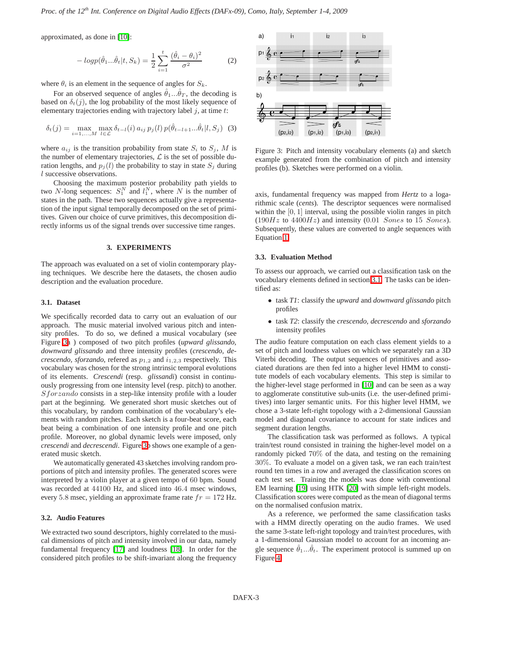approximated, as done in [\[10\]](#page-4-9):

$$
-log p(\hat{\theta}_1...\hat{\theta}_t|t, S_k) = \frac{1}{2} \sum_{i=1}^t \frac{(\hat{\theta}_i - \theta_i)^2}{\sigma^2}
$$
 (2)

where  $\theta_i$  is an element in the sequence of angles for  $S_k$ .

For an observed sequence of angles  $\hat{\theta}_1...\hat{\theta}_T$ , the decoding is based on  $\delta_t(j)$ , the log probability of the most likely sequence of elementary trajectories ending with trajectory label  $j$ , at time  $t$ :

$$
\delta_t(j) = \max_{i=1,\dots,M} \max_{l \in \mathcal{L}} \delta_{t-l}(i) a_{ij} p_j(l) p(\hat{\theta}_{t-l+1}...\hat{\theta}_t | l, S_j) \tag{3}
$$

where  $a_{ij}$  is the transition probability from state  $S_i$  to  $S_j$ , M is the number of elementary trajectories,  $\mathcal L$  is the set of possible duration lengths, and  $p_i(l)$  the probability to stay in state  $S_i$  during l successive observations.

Choosing the maximum posterior probability path yields to two N-long sequences:  $S_1^N$  and  $l_1^N$ , where N is the number of states in the path. These two sequences actually give a representation of the input signal temporally decomposed on the set of primitives. Given our choice of curve primitives, this decomposition directly informs us of the signal trends over successive time ranges.

#### **3. EXPERIMENTS**

<span id="page-2-0"></span>The approach was evaluated on a set of violin contemporary playing techniques. We describe here the datasets, the chosen audio description and the evaluation procedure.

#### <span id="page-2-2"></span>**3.1. Dataset**

We specifically recorded data to carry out an evaluation of our approach. The music material involved various pitch and intensity profiles. To do so, we defined a musical vocabulary (see Figure [3a](#page-2-1) ) composed of two pitch profiles (*upward glissando, downward glissando* and three intensity profiles (*crescendo, decrescendo, sforzando, refered as*  $p_{1,2}$  and  $i_{1,2,3}$  respectively. This vocabulary was chosen for the strong intrinsic temporal evolutions of its elements. *Crescendi* (resp. *glissandi*) consist in continuously progressing from one intensity level (resp. pitch) to another. Sforzando consists in a step-like intensity profile with a louder part at the beginning. We generated short music sketches out of this vocabulary, by random combination of the vocabulary's elements with random pitches. Each sketch is a four-beat score, each beat being a combination of one intensity profile and one pitch profile. Moreover, no global dynamic levels were imposed, only *crescendi* and *decrescendi*. Figure [3b](#page-2-1) shows one example of a generated music sketch.

We automatically generated 43 sketches involving random proportions of pitch and intensity profiles. The generated scores were interpreted by a violin player at a given tempo of 60 bpm. Sound was recorded at 44100 Hz, and sliced into 46.4 msec windows, every 5.8 msec, yielding an approximate frame rate  $fr = 172$  Hz.

### **3.2. Audio Features**

We extracted two sound descriptors, highly correlated to the musical dimensions of pitch and intensity involved in our data, namely fundamental frequency [\[17\]](#page-4-16) and loudness [\[18\]](#page-4-17). In order for the considered pitch profiles to be shift-invariant along the frequency

<span id="page-2-1"></span>

Figure 3: Pitch and intensity vocabulary elements (a) and sketch example generated from the combination of pitch and intensity profiles (b). Sketches were performed on a violin.

axis, fundamental frequency was mapped from *Hertz* to a logarithmic scale (*cents*). The descriptor sequences were normalised within the  $[0, 1]$  interval, using the possible violin ranges in pitch  $(190Hz$  to  $4400Hz$ ) and intensity  $(0.01$  Sones to 15 Sones). Subsequently, these values are converted to angle sequences with Equation [1.](#page-1-3)

### **3.3. Evaluation Method**

To assess our approach, we carried out a classification task on the vocabulary elements defined in section [3.1.](#page-2-2) The tasks can be identified as:

- task *T1*: classify the *upward* and *downward glissando* pitch profiles
- task *T2*: classify the *crescendo, decrescendo* and *sforzando* intensity profiles

The audio feature computation on each class element yields to a set of pitch and loudness values on which we separately ran a 3D Viterbi decoding. The output sequences of primitives and associated durations are then fed into a higher level HMM to constitute models of each vocabulary elements. This step is similar to the higher-level stage performed in [\[10\]](#page-4-9) and can be seen as a way to agglomerate constitutive sub-units (i.e. the user-defined primitives) into larger semantic units. For this higher level HMM, we chose a 3-state left-right topology with a 2-dimensional Gaussian model and diagonal covariance to account for state indices and segment duration lengths.

The classification task was performed as follows. A typical train/test round consisted in training the higher-level model on a randomly picked 70% of the data, and testing on the remaining 30%. To evaluate a model on a given task, we ran each train/test round ten times in a row and averaged the classification scores on each test set. Training the models was done with conventional EM learning [\[19\]](#page-4-18) using HTK [\[20\]](#page-4-19) with simple left-right models. Classification scores were computed as the mean of diagonal terms on the normalised confusion matrix.

As a reference, we performed the same classification tasks with a HMM directly operating on the audio frames. We used the same 3-state left-right topology and train/test procedures, with a 1-dimensional Gaussian model to account for an incoming angle sequence  $\hat{\theta}_1...\hat{\theta}_t$ . The experiment protocol is summed up on Figure [4](#page-3-2)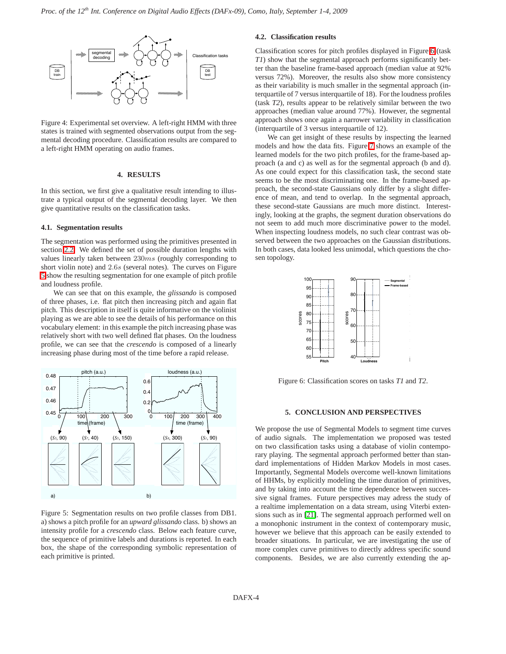<span id="page-3-2"></span>

Figure 4: Experimental set overview. A left-right HMM with three states is trained with segmented observations output from the segmental decoding procedure. Classification results are compared to a left-right HMM operating on audio frames.

#### **4. RESULTS**

<span id="page-3-0"></span>In this section, we first give a qualitative result intending to illustrate a typical output of the segmental decoding layer. We then give quantitative results on the classification tasks.

#### 4.1. Segmentation results

The segmentation was performed using the primitives presented in section 2.2. We defined the set of possible duration lengths with values linearly taken between  $230ms$  (roughly corresponding to short violin note) and 2.6s (several notes). The curves on Figure 5 show the resulting segmentation for one example of pitch profile and loudness profile.

We can see that on this example, the *glissando* is composed of three phases, i.e. flat pitch then increasing pitch and again flat pitch. This description in itself is quite informative on the violinist playing as we are able to see the details of his performance on this vocabulary element: in this example the pitch increasing phase was relatively short with two well defined flat phases. On the loudness profile, we can see that the *crescendo* is composed of a linearly increasing phase during most of the time before a rapid release.

<span id="page-3-3"></span>

Figure 5: Segmentation results on two profile classes from DB1. a) shows a pitch profile for an *upward glissando* class. b) shows an intensity profile for a *crescendo* class. Below each feature curve, the sequence of primitive labels and durations is reported. In each box, the shape of the corresponding symbolic representation of each primitive is printed.

## 4.2. Classification results

Classification scores for pitch profiles displayed in Figure 6 (task *TI*) show that the segmental approach performs significantly better than the baseline frame-based approach (median value at 92% versus 72%). Moreover, the results also show more consistency as their variability is much smaller in the segmental approach (interquartile of 7 versus interquartile of 18). For the loudness profiles (task T2), results appear to be relatively similar between the two approaches (median value around 77%). However, the segmental approach shows once again a narrower variability in classification (interquartile of 3 versus interquartile of 12).

We can get insight of these results by inspecting the learned models and how the data fits. Figure 7 shows an example of the learned models for the two pitch profiles, for the frame-based approach (a and c) as well as for the segmental approach (b and d). As one could expect for this classification task, the second state seems to be the most discriminating one. In the frame-based approach, the second-state Gaussians only differ by a slight difference of mean, and tend to overlap. In the segmental approach, these second-state Gaussians are much more distinct. Interestingly, looking at the graphs, the segment duration observations do not seem to add much more discriminative power to the model. When inspecting loudness models, no such clear contrast was observed between the two approaches on the Gaussian distributions. In both cases, data looked less unimodal, which questions the chosen topology.

<span id="page-3-4"></span>

Figure 6: Classification scores on tasks T1 and T2.

### 5. CONCLUSION AND PERSPECTIVES

<span id="page-3-1"></span>We propose the use of Segmental Models to segment time curves of audio signals. The implementation we proposed was tested on two classification tasks using a database of violin contemporary playing. The segmental approach performed better than standard implementations of Hidden Markov Models in most cases. Importantly, Segmental Models overcome well-known limitations of HHMs, by explicitly modeling the time duration of primitives, and by taking into account the time dependence between successive signal frames. Future perspectives may adress the study of a realtime implementation on a data stream, using Viterbi extensions such as in [21]. The segmental approach performed well on a monophonic instrument in the context of contemporary music, however we believe that this approach can be easily extended to broader situations. In particular, we are investigating the use of more complex curve primitives to directly address specific sound components. Besides, we are also currently extending the ap-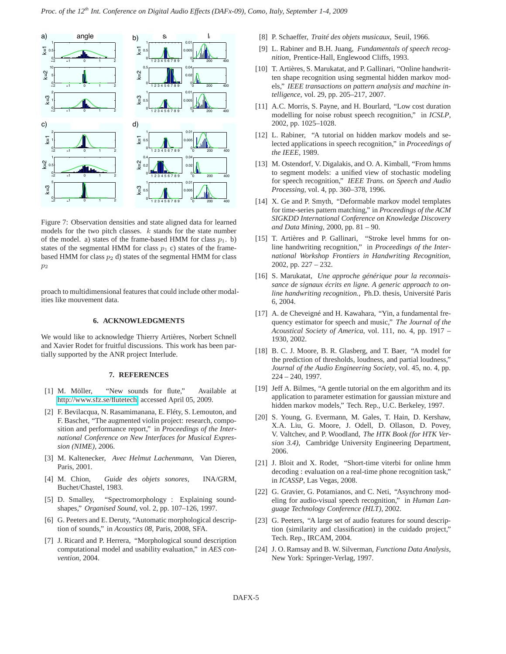<span id="page-4-20"></span>

Figure 7: Observation densities and state aligned data for learned models for the two pitch classes.  $k$  stands for the state number of the model. a) states of the frame-based HMM for class  $p_1$ . b) states of the segmental HMM for class  $p_1$  c) states of the framebased HMM for class  $p_2$  d) states of the segmental HMM for class  $p<sub>2</sub>$ 

proach to multidimensional features that could include other modalities like mouvement data.

#### **6. ACKNOWLEDGMENTS**

We would like to acknowledge Thierry Artières, Norbert Schnell and Xavier Rodet for fruitful discussions. This work has been partially supported by the ANR project Interlude.

#### **7. REFERENCES**

- <span id="page-4-0"></span>[1] M. Möller, "New sounds for flute," Available at [http://www.sfz.se/flutetech,](http://www.sfz.se/flutetech) accessed April 05, 2009.
- <span id="page-4-1"></span>[2] F. Bevilacqua, N. Rasamimanana, E. Fléty, S. Lemouton, and F. Baschet, "The augmented violin project: research, composition and performance report," in *Proceedings of the International Conference on New Interfaces for Musical Expression (NIME)*, 2006.
- <span id="page-4-2"></span>[3] M. Kaltenecker, *Avec Helmut Lachenmann*, Van Dieren, Paris, 2001.
- <span id="page-4-3"></span>[4] M. Chion, *Guide des objets sonores*, INA/GRM, Buchet/Chastel, 1983.
- <span id="page-4-4"></span>[5] D. Smalley, "Spectromorphology : Explaining soundshapes," *Organised Sound*, vol. 2, pp. 107–126, 1997.
- <span id="page-4-5"></span>[6] G. Peeters and E. Deruty, "Automatic morphological description of sounds," in *Acoustics 08*, Paris, 2008, SFA.
- <span id="page-4-6"></span>[7] J. Ricard and P. Herrera, "Morphological sound description computational model and usability evaluation," in *AES convention*, 2004.
- <span id="page-4-7"></span>[8] P. Schaeffer, *Traité des objets musicaux*, Seuil, 1966.
- <span id="page-4-8"></span>[9] L. Rabiner and B.H. Juang, *Fundamentals of speech recognition*, Prentice-Hall, Englewood Cliffs, 1993.
- <span id="page-4-9"></span>[10] T. Artières, S. Marukatat, and P. Gallinari, "Online handwritten shape recognition using segmental hidden markov models," *IEEE transactions on pattern analysis and machine intelligence*, vol. 29, pp. 205–217, 2007.
- <span id="page-4-10"></span>[11] A.C. Morris, S. Payne, and H. Bourlard, "Low cost duration modelling for noise robust speech recognition," in *ICSLP*, 2002, pp. 1025–1028.
- <span id="page-4-11"></span>[12] L. Rabiner, "A tutorial on hidden markov models and selected applications in speech recognition," in *Proceedings of the IEEE*, 1989.
- <span id="page-4-12"></span>[13] M. Ostendorf, V. Digalakis, and O. A. Kimball, "From hmms to segment models: a unified view of stochastic modeling for speech recognition," *IEEE Trans. on Speech and Audio Processing*, vol. 4, pp. 360–378, 1996.
- <span id="page-4-13"></span>[14] X. Ge and P. Smyth, "Deformable markov model templates for time-series pattern matching," in *Proceedings of the ACM SIGKDD International Conference on Knowledge Discovery and Data Mining*, 2000, pp. 81 – 90.
- <span id="page-4-14"></span>[15] T. Artières and P. Gallinari, "Stroke level hmms for online handwriting recognition," in *Proceedings of the International Workshop Frontiers in Handwriting Recognition*, 2002, pp. 227 – 232.
- <span id="page-4-15"></span>[16] S. Marukatat, *Une approche générique pour la reconnaissance de signaux écrits en ligne. A generic approach to online handwriting recognition.*, Ph.D. thesis, Université Paris 6, 2004.
- <span id="page-4-16"></span>[17] A. de Cheveigné and H. Kawahara, "Yin, a fundamental frequency estimator for speech and music," *The Journal of the Acoustical Society of America*, vol. 111, no. 4, pp. 1917 – 1930, 2002.
- <span id="page-4-17"></span>[18] B. C. J. Moore, B. R. Glasberg, and T. Baer, "A model for the prediction of thresholds, loudness, and partial loudness," *Journal of the Audio Engineering Society*, vol. 45, no. 4, pp. 224 – 240, 1997.
- <span id="page-4-18"></span>[19] Jeff A. Bilmes, "A gentle tutorial on the em algorithm and its application to parameter estimation for gaussian mixture and hidden markov models," Tech. Rep., U.C. Berkeley, 1997.
- <span id="page-4-19"></span>[20] S. Young, G. Evermann, M. Gales, T. Hain, D. Kershaw, X.A. Liu, G. Moore, J. Odell, D. Ollason, D. Povey, V. Valtchev, and P. Woodland, *The HTK Book (for HTK Version 3.4)*, Cambridge University Engineering Department, 2006.
- <span id="page-4-21"></span>[21] J. Bloit and X. Rodet, "Short-time viterbi for online hmm decoding : evaluation on a real-time phone recognition task," in *ICASSP*, Las Vegas, 2008.
- [22] G. Gravier, G. Potamianos, and C. Neti, "Asynchrony modeling for audio-visual speech recognition," in *Human Language Technology Conference (HLT)*, 2002.
- [23] G. Peeters, "A large set of audio features for sound description (similarity and classification) in the cuidado project," Tech. Rep., IRCAM, 2004.
- [24] J. O. Ramsay and B. W. Silverman, *Functiona Data Analysis*, New York: Springer-Verlag, 1997.